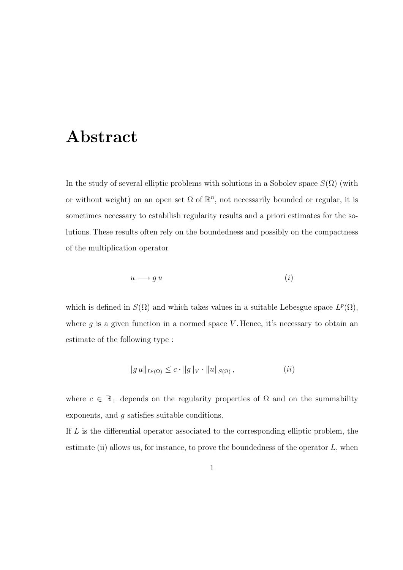## Abstract

In the study of several elliptic problems with solutions in a Sobolev space  $S(\Omega)$  (with or without weight) on an open set  $\Omega$  of  $\mathbb{R}^n$ , not necessarily bounded or regular, it is sometimes necessary to estabilish regularity results and a priori estimates for the solutions. These results often rely on the boundedness and possibly on the compactness of the multiplication operator

$$
u \longrightarrow g u \tag{i}
$$

which is defined in  $S(\Omega)$  and which takes values in a suitable Lebesgue space  $L^p(\Omega)$ , where  $g$  is a given function in a normed space  $V$ . Hence, it's necessary to obtain an estimate of the following type :

$$
||g u||_{L^p(\Omega)} \leq c \cdot ||g||_V \cdot ||u||_{S(\Omega)}, \qquad (ii)
$$

where  $c \in \mathbb{R}_+$  depends on the regularity properties of  $\Omega$  and on the summability exponents, and g satisfies suitable conditions.

If L is the differential operator associated to the corresponding elliptic problem, the estimate (ii) allows us, for instance, to prove the boundedness of the operator  $L$ , when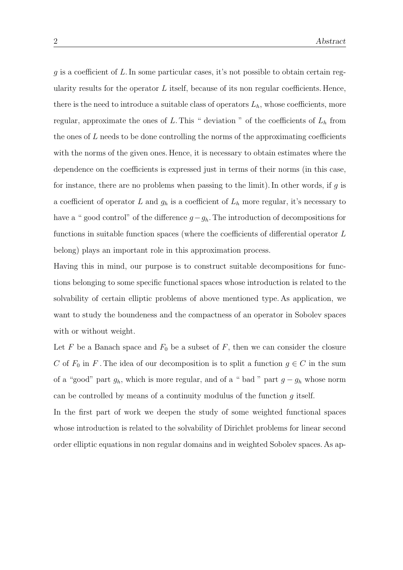$g$  is a coefficient of L. In some particular cases, it's not possible to obtain certain regularity results for the operator  $L$  itself, because of its non regular coefficients. Hence, there is the need to introduce a suitable class of operators  $L<sub>h</sub>$ , whose coefficients, more regular, approximate the ones of L. This " deviation " of the coefficients of  $L<sub>h</sub>$  from the ones of  $L$  needs to be done controlling the norms of the approximating coefficients with the norms of the given ones. Hence, it is necessary to obtain estimates where the dependence on the coefficients is expressed just in terms of their norms (in this case, for instance, there are no problems when passing to the limit). In other words, if  $g$  is a coefficient of operator L and  $g_h$  is a coefficient of  $L_h$  more regular, it's necessary to have a " good control" of the difference  $g-g_h$ . The introduction of decompositions for functions in suitable function spaces (where the coefficients of differential operator L belong) plays an important role in this approximation process.

Having this in mind, our purpose is to construct suitable decompositions for functions belonging to some specific functional spaces whose introduction is related to the solvability of certain elliptic problems of above mentioned type. As application, we want to study the boundeness and the compactness of an operator in Sobolev spaces with or without weight.

Let F be a Banach space and  $F_0$  be a subset of F, then we can consider the closure C of  $F_0$  in F. The idea of our decomposition is to split a function  $g \in C$  in the sum of a "good" part  $g_h$ , which is more regular, and of a " bad " part  $g - g_h$  whose norm can be controlled by means of a continuity modulus of the function  $q$  itself.

In the first part of work we deepen the study of some weighted functional spaces whose introduction is related to the solvability of Dirichlet problems for linear second order elliptic equations in non regular domains and in weighted Sobolev spaces. As ap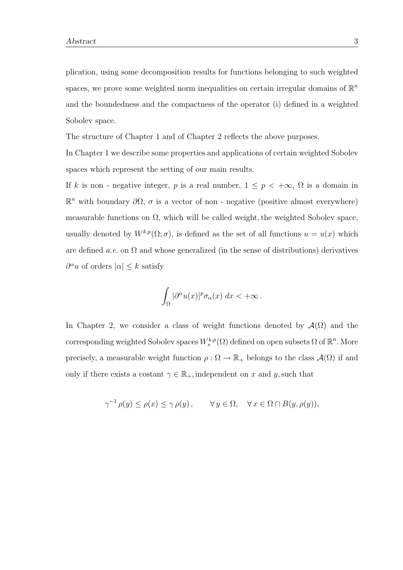plication, using some decomposition results for functions belonging to such weighted spaces, we prove some weighted norm inequalities on certain irregular domains of  $\mathbb{R}^n$ and the boundedness and the compactness of the operator (i) defined in a weighted Sobolev space.

The structure of Chapter 1 and of Chapter 2 reflects the above purposes.

In Chapter 1 we describe some properties and applications of certain weighted Sobolev spaces which represent the setting of our main results.

If k is non - negative integer, p is a real number,  $1 \le p < +\infty$ ,  $\Omega$  is a domain in  $\mathbb{R}^n$  with boundary  $\partial\Omega$ , σ is a vector of non - negative (positive almost everywhere) measurable functions on  $\Omega$ , which will be called weight, the weighted Sobolev space, usually denoted by  $W^{k,p}(\Omega;\sigma)$ , is defined as the set of all functions  $u = u(x)$  which are defined a.e. on  $\Omega$  and whose generalized (in the sense of distributions) derivatives  $\partial^{\alpha} u$  of orders  $|\alpha| \leq k$  satisfy

$$
\int_{\Omega} |\partial^{\alpha} u(x)|^p \sigma_{\alpha}(x) \, dx < +\infty \, .
$$

In Chapter 2, we consider a class of weight functions denoted by  $\mathcal{A}(\Omega)$  and the corresponding weighted Sobolev spaces  $W_s^{k,p}(\Omega)$  defined on open subsets  $\Omega$  of  $\mathbb{R}^n$ . More precisely, a measurable weight function  $\rho : \Omega \to \mathbb{R}_+$  belongs to the class  $\mathcal{A}(\Omega)$  if and only if there exists a costant  $\gamma \in \mathbb{R}_+$ , independent on x and y, such that

$$
\gamma^{-1} \rho(y) \le \rho(x) \le \gamma \rho(y), \qquad \forall y \in \Omega, \quad \forall x \in \Omega \cap B(y, \rho(y)),
$$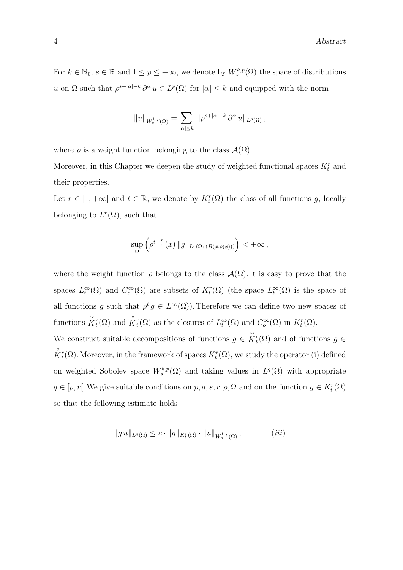For  $k \in \mathbb{N}_0$ ,  $s \in \mathbb{R}$  and  $1 \leq p \leq +\infty$ , we denote by  $W_s^{k,p}(\Omega)$  the space of distributions u on  $\Omega$  such that  $\rho^{s+|\alpha|-k} \partial^{\alpha} u \in L^p(\Omega)$  for  $|\alpha| \leq k$  and equipped with the norm

$$
||u||_{W_s^{k,p}(\Omega)} = \sum_{|\alpha| \leq k} ||\rho^{s+|\alpha|-k} \partial^\alpha u||_{L^p(\Omega)},
$$

where  $\rho$  is a weight function belonging to the class  $\mathcal{A}(\Omega)$ .

Moreover, in this Chapter we deepen the study of weighted functional spaces  $K_t^r$  and their properties.

Let  $r \in [1, +\infty]$  and  $t \in \mathbb{R}$ , we denote by  $K_t^r(\Omega)$  the class of all functions g, locally belonging to  $L^r(\Omega)$ , such that

$$
\sup_{\Omega} \left( \rho^{t-\frac{n}{r}}(x) \|g\|_{L^r(\Omega \cap B(x,\rho(x)))} \right) < +\infty,
$$

where the weight function  $\rho$  belongs to the class  $\mathcal{A}(\Omega)$ . It is easy to prove that the spaces  $L_t^{\infty}(\Omega)$  and  $C_o^{\infty}(\Omega)$  are subsets of  $K_t^r(\Omega)$  (the space  $L_t^{\infty}(\Omega)$  is the space of all functions g such that  $\rho^t g \in L^{\infty}(\Omega)$ . Therefore we can define two new spaces of functions  $\tilde{K}_t^r(\Omega)$  and  $\overset{\circ}{K}_t^r(\Omega)$  as the closures of  $L_t^{\infty}(\Omega)$  and  $C_o^{\infty}(\Omega)$  in  $K_t^r(\Omega)$ .

We construct suitable decompositions of functions  $g \in \tilde{K}_t^r(\Omega)$  and of functions  $g \in$  $\mathring{K}_t^r(\Omega)$ . Moreover, in the framework of spaces  $K_t^r(\Omega)$ , we study the operator (i) defined on weighted Sobolev space  $W_s^{k,p}(\Omega)$  and taking values in  $L^q(\Omega)$  with appropriate  $q \in [p, r]$ . We give suitable conditions on  $p, q, s, r, \rho, \Omega$  and on the function  $g \in K_t^r(\Omega)$ so that the following estimate holds

$$
||g u||_{L^{q}(\Omega)} \leq c \cdot ||g||_{K_{t}^{r}(\Omega)} \cdot ||u||_{W_{s}^{k,p}(\Omega)}, \qquad (iii)
$$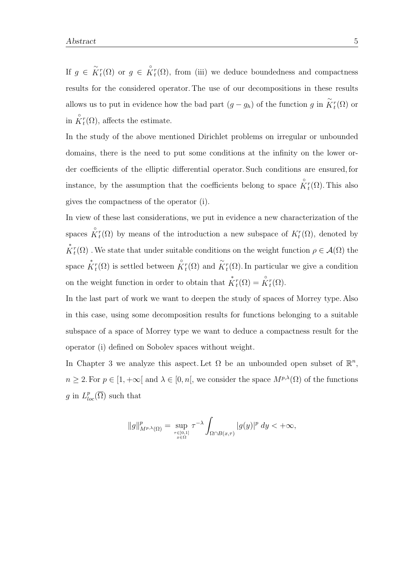If  $g \in \tilde{K}_t^r(\Omega)$  or  $g \in \overset{\circ}{K}_t^r(\Omega)$ , from (iii) we deduce boundedness and compactness results for the considered operator. The use of our decompositions in these results allows us to put in evidence how the bad part  $(g - g_h)$  of the function g in  $\tilde{K}_t^r(\Omega)$  or in  $\overset{\circ}{K}_{t}^{r}(\Omega)$ , affects the estimate.

In the study of the above mentioned Dirichlet problems on irregular or unbounded domains, there is the need to put some conditions at the infinity on the lower order coefficients of the elliptic differential operator. Such conditions are ensured, for instance, by the assumption that the coefficients belong to space  $\overset{\circ}{K}^r_t(\Omega)$ . This also gives the compactness of the operator (i).

In view of these last considerations, we put in evidence a new characterization of the spaces  $\hat{K}_t^r(\Omega)$  by means of the introduction a new subspace of  $K_t^r(\Omega)$ , denoted by  $\overset{*}{K}{}^r_t(\Omega)$  . We state that under suitable conditions on the weight function  $\rho \in \mathcal{A}(\Omega)$  the space  $\overset{*}{K}_{t}^{r}(\Omega)$  is settled between  $\overset{\circ}{K}_{t}^{r}(\Omega)$  and  $\overset{\sim}{K}_{t}^{r}(\Omega)$ . In particular we give a condition on the weight function in order to obtain that  $\overset{*}{K}^r_t(\Omega) = \overset{\circ}{K}^r_t(\Omega)$ .

In the last part of work we want to deepen the study of spaces of Morrey type. Also in this case, using some decomposition results for functions belonging to a suitable subspace of a space of Morrey type we want to deduce a compactness result for the operator (i) defined on Sobolev spaces without weight.

In Chapter 3 we analyze this aspect. Let  $\Omega$  be an unbounded open subset of  $\mathbb{R}^n$ ,  $n \geq 2$ . For  $p \in [1, +\infty[$  and  $\lambda \in [0, n],$  we consider the space  $M^{p,\lambda}(\Omega)$  of the functions g in  $L_{loc}^p(\overline{\Omega})$  such that

$$
\|g\|_{M^{p,\lambda}(\Omega)}^p = \sup_{\tau \in ]0,1] \atop x \in \Omega} \tau^{-\lambda} \int_{\Omega \cap B(x,\tau)} |g(y)|^p \ dy < +\infty,
$$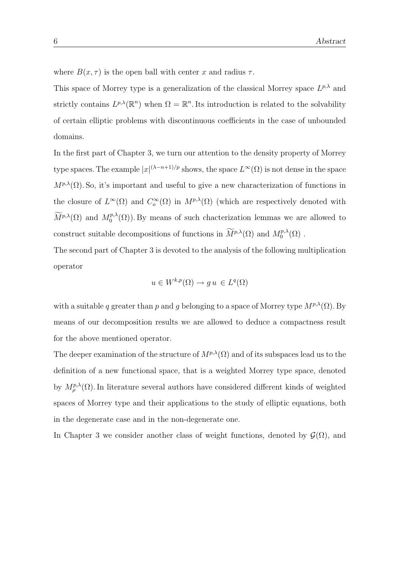where  $B(x, \tau)$  is the open ball with center x and radius  $\tau$ .

This space of Morrey type is a generalization of the classical Morrey space  $L^{p,\lambda}$  and strictly contains  $L^{p,\lambda}(\mathbb{R}^n)$  when  $\Omega = \mathbb{R}^n$ . Its introduction is related to the solvability of certain elliptic problems with discontinuous coefficients in the case of unbounded domains.

In the first part of Chapter 3, we turn our attention to the density property of Morrey type spaces. The example  $|x|^{(\lambda-n+1)/p}$  shows, the space  $L^{\infty}(\Omega)$  is not dense in the space  $M^{p,\lambda}(\Omega)$ . So, it's important and useful to give a new characterization of functions in the closure of  $L^{\infty}(\Omega)$  and  $C_o^{\infty}(\Omega)$  in  $M^{p,\lambda}(\Omega)$  (which are respectively denoted with  $\widetilde{M}^{p,\lambda}(\Omega)$  and  $M^{p,\lambda}_0$  $\binom{p,\lambda}{0}$ . By means of such chacterization lemmas we are allowed to construct suitable decompositions of functions in  $\widetilde{M}^{p,\lambda}(\Omega)$  and  $M_0^{p,\lambda}$  $\Omega^{p,\lambda}(\Omega)$  .

The second part of Chapter 3 is devoted to the analysis of the following multiplication operator

$$
u \in W^{k,p}(\Omega) \to gu \in L^q(\Omega)
$$

with a suitable q greater than p and g belonging to a space of Morrey type  $M^{p,\lambda}(\Omega)$ . By means of our decomposition results we are allowed to deduce a compactness result for the above mentioned operator.

The deeper examination of the structure of  $M^{p,\lambda}(\Omega)$  and of its subspaces lead us to the definition of a new functional space, that is a weighted Morrey type space, denoted by  $M_{\rho}^{p,\lambda}(\Omega)$ . In literature several authors have considered different kinds of weighted spaces of Morrey type and their applications to the study of elliptic equations, both in the degenerate case and in the non-degenerate one.

In Chapter 3 we consider another class of weight functions, denoted by  $\mathcal{G}(\Omega)$ , and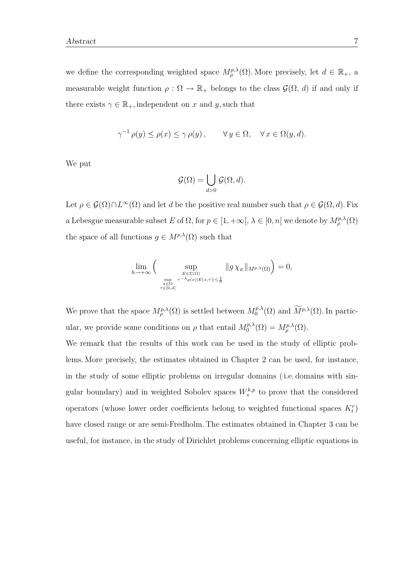we define the corresponding weighted space  $M_{\rho}^{p,\lambda}(\Omega)$ . More precisely, let  $d \in \mathbb{R}_+$ , a measurable weight function  $\rho : \Omega \to \mathbb{R}_+$  belongs to the class  $\mathcal{G}(\Omega, d)$  if and only if there exists  $\gamma \in \mathbb{R}_+$ , independent on x and y, such that

$$
\gamma^{-1} \rho(y) \le \rho(x) \le \gamma \rho(y), \qquad \forall y \in \Omega, \quad \forall x \in \Omega(y, d).
$$

We put

$$
\mathcal{G}(\Omega) = \bigcup_{d>0} \mathcal{G}(\Omega, d).
$$

Let  $\rho \in \mathcal{G}(\Omega) \cap L^{\infty}(\Omega)$  and let d be the positive real number such that  $\rho \in \mathcal{G}(\Omega, d)$ . Fix a Lebesgue measurable subset E of  $\Omega$ , for  $p \in [1, +\infty], \lambda \in [0, n]$  we denote by  $M^{p,\lambda}_{\rho}(\Omega)$ the space of all functions  $g \in M^{p,\lambda}(\Omega)$  such that

$$
\lim_{h \to +\infty} \Big( \sup_{\substack{E \in \Sigma(\Omega) \\ \sup_{\substack{x \in \Omega \\ \tau \in [0,d]}} \tau^{-\lambda} \rho(x)|E(x,\tau)| \leq \frac{1}{h}}} \|g \chi_E\|_{M^{p,\lambda}(\Omega)} \Big) = 0,
$$

We prove that the space  $M^{p,\lambda}_{\rho}(\Omega)$  is settled between  $M^{p,\lambda}_0$  $\int_0^{p,\lambda}(\Omega)$  and  $M^{p,\lambda}(\Omega)$ . In particular, we provide some conditions on  $\rho$  that entail  $M_0^{p,\lambda}$  $\delta_0^{p,\lambda}(\Omega)=M_{\rho}^{p,\lambda}(\Omega).$ 

We remark that the results of this work can be used in the study of elliptic problems. More precisely, the estimates obtained in Chapter 2 can be used, for instance, in the study of some elliptic problems on irregular domains ( i.e. domains with singular boundary) and in weighted Sobolev spaces  $W_s^{k,p}$  to prove that the considered operators (whose lower order coefficients belong to weighted functional spaces  $K_t^r$ ) have closed range or are semi-Fredholm. The estimates obtained in Chapter 3 can be useful, for instance, in the study of Dirichlet problems concerning elliptic equations in